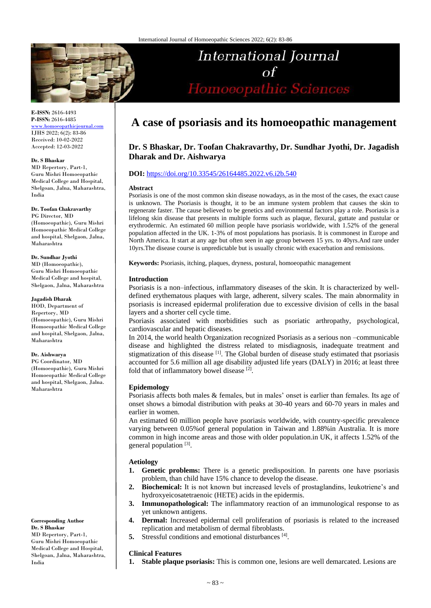

**E-ISSN:** 2616-4493 **P-ISSN:** 2616-4485 [www.homoeopathicjournal.com](file://///Server/test/homoeopathicjournal/issue/vol%204/issue%201/www.homoeopathicjournal.com)

IJHS 2022; 6(2): 83-86 Received: 10-02-2022 Accepted: 12-03-2022

#### **Dr. S Bhaskar**

MD Repertory, Part-1, Guru Mishri Homoeopathic Medical College and Hospital, Shelgoan, Jalna, Maharashtra, India

#### **Dr. Toofan Chakravarthy**

PG Director, MD (Homoeopathic), Guru Mishri Homoeopathic Medical College and hospital, Shelgaon, Jalna, Maharashtra

## **Dr. Sundhar Jyothi**

MD (Homoeopathic), Guru Mishri Homoeopathic Medical College and hospital, Shelgaon, Jalna, Maharashtra

#### **Jagadish Dharak**

HOD, Department of Repertory, MD (Homoeopathic), Guru Mishri Homoeopathic Medical College and hospital, Shelgaon, Jalna, Maharashtra

## **Dr. Aishwarya**

PG Coordinator, MD (Homoeopathic), Guru Mishri Homoeopathic Medical College and hospital, Shelgaon, Jalna. Maharashtra

**Corresponding Author Dr. S Bhaskar** MD Repertory, Part-1, Guru Mishri Homoeopathic Medical College and Hospital, Shelgoan, Jalna, Maharashtra, India

# **A case of psoriasis and its homoeopathic management**

**International Journal** 

Homoeopathic Sciences

# **Dr. S Bhaskar, Dr. Toofan Chakravarthy, Dr. Sundhar Jyothi, Dr. Jagadish Dharak and Dr. Aishwarya**

## **DOI:** <https://doi.org/10.33545/26164485.2022.v6.i2b.540>

#### **Abstract**

Psoriasis is one of the most common skin disease nowadays, as in the most of the cases, the exact cause is unknown. The Psoriasis is thought, it to be an immune system problem that causes the skin to regenerate faster. The cause believed to be genetics and environmental factors play a role. Psoriasis is a lifelong skin disease that presents in multiple forms such as plaque, flexural, guttate and pustular or erythrodermic. An estimated 60 million people have psoriasis worldwide, with 1.52% of the general population affected in the UK. 1-3% of most populations has psoriasis. It is commonest in Europe and North America. It start at any age but often seen in age group between 15 yrs. to 40yrs.And rare under 10yrs.The disease course is unpredictable but is usually chronic with exacerbation and remissions.

**Keywords:** Psoriasis, itching, plaques, dryness, postural, homoeopathic management

#### **Introduction**

Psoriasis is a non–infectious, inflammatory diseases of the skin. It is characterized by welldefined erythematous plaques with large, adherent, silvery scales. The main abnormality in psoriasis is increased epidermal proliferation due to excessive division of cells in the basal layers and a shorter cell cycle time.

Psoriasis associated with morbidities such as psoriatic arthropathy, psychological, cardiovascular and hepatic diseases.

In 2014, the world health Organization recognized Psoriasis as a serious non –communicable disease and highlighted the distress related to misdiagnosis, inadequate treatment and stigmatization of this disease <sup>[1]</sup>. The Global burden of disease study estimated that psoriasis accounted for 5.6 million all age disability adjusted life years (DALY) in 2016; at least three fold that of inflammatory bowel disease<sup>[2]</sup>.

#### **Epidemology**

Psoriasis affects both males & females, but in males' onset is earlier than females. Its age of onset shows a bimodal distribution with peaks at 30-40 years and 60-70 years in males and earlier in women.

An estimated 60 million people have psoriasis worldwide, with country-specific prevalence varying between 0.05%of general population in Taiwan and 1.88%in Australia. It is more common in high income areas and those with older population.in UK, it affects 1.52% of the general population [3].

## **Aetiology**

- **1. Genetic problems:** There is a genetic predisposition. In parents one have psoriasis problem, than child have 15% chance to develop the disease.
- **2. Biochemical:** It is not known but increased levels of prostaglandins, leukotriene's and hydroxyeicosatetraenoic (HETE) acids in the epidermis.
- **3. Immunopathological:** The inflammatory reaction of an immunological response to as yet unknown antigens.
- **4. Dermal:** Increased epidermal cell proliferation of psoriasis is related to the increased replication and metabolism of dermal fibroblasts.
- **5.** Stressful conditions and emotional disturbances [4].

#### **Clinical Features**

**1. Stable plaque psoriasis:** This is common one, lesions are well demarcated. Lesions are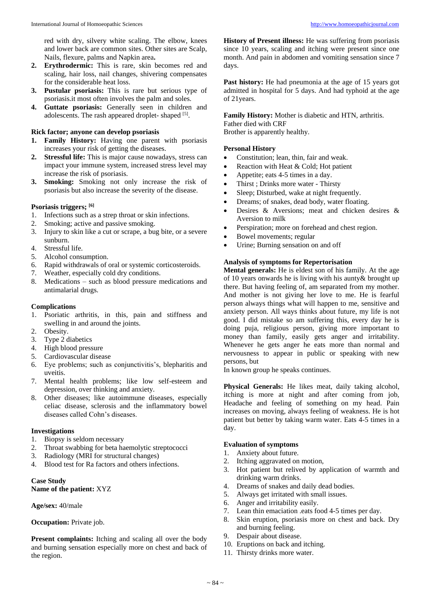red with dry, silvery white scaling. The elbow, knees and lower back are common sites. Other sites are Scalp, Nails, flexure, palms and Napkin area**.**

- **2. Erythrodermic:** This is rare, skin becomes red and scaling, hair loss, nail changes, shivering compensates for the considerable heat loss.
- **3. Pustular psoriasis:** This is rare but serious type of psoriasis.it most often involves the palm and soles.
- **4. Guttate psoriasis:** Generally seen in children and adolescents. The rash appeared droplet-shaped [5].

#### **Rick factor; anyone can develop psoriasis**

- **1. Family History:** Having one parent with psoriasis increases your risk of getting the diseases.
- **2. Stressful life:** This is major cause nowadays, stress can impact your immune system, increased stress level may increase the risk of psoriasis.
- **3. Smoking:** Smoking not only increase the risk of psoriasis but also increase the severity of the disease.

## **Psoriasis triggers; [6]**

- 1. Infections such as a strep throat or skin infections.
- 2. Smoking; active and passive smoking.
- 3. Injury to skin like a cut or scrape, a bug bite, or a severe sunburn.
- 4. Stressful life.
- 5. Alcohol consumption.
- 6. Rapid withdrawals of oral or systemic corticosteroids.
- 7. Weather, especially cold dry conditions.
- 8. Medications such as blood pressure medications and antimalarial drugs.

#### **Complications**

- 1. Psoriatic arthritis, in this, pain and stiffness and swelling in and around the joints.
- 2. Obesity.
- 3. Type 2 diabetics
- 4. High blood pressure
- 5. Cardiovascular disease
- 6. Eye problems; such as conjunctivitis's, blepharitis and uveitis.
- 7. Mental health problems; like low self-esteem and depression, over thinking and anxiety.
- 8. Other diseases; like autoimmune diseases, especially celiac disease, sclerosis and the inflammatory bowel diseases called Cohn's diseases.

## **Investigations**

- 1. Biopsy is seldom necessary
- 2. Throat swabbing for beta haemolytic streptococci
- 3. Radiology (MRI for structural changes)
- 4. Blood test for Ra factors and others infections.

## **Case Study**

**Name of the patient:** XYZ

#### **Age/sex:** 40/male

**Occupation:** Private job.

**Present complaints:** Itching and scaling all over the body and burning sensation especially more on chest and back of the region.

**History of Present illness:** He was suffering from psoriasis since 10 years, scaling and itching were present since one month. And pain in abdomen and vomiting sensation since 7 days.

Past history: He had pneumonia at the age of 15 years got admitted in hospital for 5 days. And had typhoid at the age of 21years.

**Family History:** Mother is diabetic and HTN, arthritis. Father died with CRF

Brother is apparently healthy.

## **Personal History**

- Constitution; lean, thin, fair and weak.
- Reaction with Heat & Cold; Hot patient
- Appetite; eats 4-5 times in a day.
- Thirst ; Drinks more water Thirsty
- Sleep; Disturbed, wake at night frequently.
- Dreams; of snakes, dead body, water floating.
- Desires & Aversions; meat and chicken desires & Aversion to milk
- Perspiration; more on forehead and chest region.
- Bowel movements; regular
- Urine; Burning sensation on and off

## **Analysis of symptoms for Repertorisation**

**Mental generals:** He is eldest son of his family. At the age of 10 years onwards he is living with his aunty& brought up there. But having feeling of, am separated from my mother. And mother is not giving her love to me. He is fearful person always things what will happen to me, sensitive and anxiety person. All ways thinks about future, my life is not good. I did mistake so am suffering this, every day he is doing puja, religious person, giving more important to money than family, easily gets anger and irritability. Whenever he gets anger he eats more than normal and nervousness to appear in public or speaking with new persons, but

In known group he speaks continues.

**Physical Generals:** He likes meat, daily taking alcohol, itching is more at night and after coming from job, Headache and feeling of something on my head. Pain increases on moving, always feeling of weakness. He is hot patient but better by taking warm water. Eats 4-5 times in a day.

## **Evaluation of symptoms**

- 1. Anxiety about future.
- 2. Itching aggravated on motion,
- 3. Hot patient but relived by application of warmth and drinking warm drinks.
- 4. Dreams of snakes and daily dead bodies.
- 5. Always get irritated with small issues.
- 6. Anger and irritability easily.
- 7. Lean thin emaciation .eats food 4-5 times per day.
- 8. Skin eruption, psoriasis more on chest and back. Dry and burning feeling.
- 9. Despair about disease.
- 10. Eruptions on back and itching.
- 11. Thirsty drinks more water.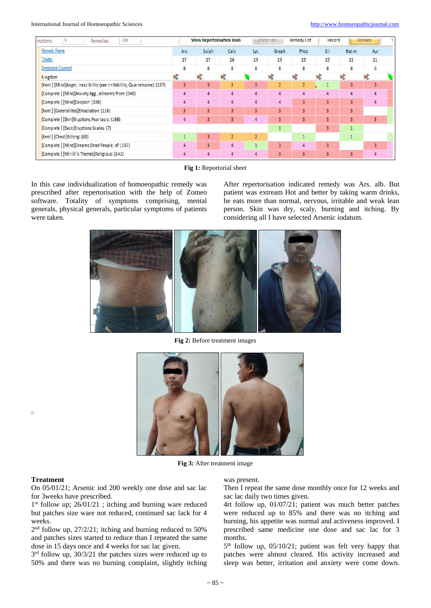#### International Journal of Homoeopathic Sciences [http://www.homoeopathicjournal.com](http://www.homoeopathicjournal.com/)

| 9<br>10 <sub>b</sub><br>Remedies:<br>mptoms:                            | Show Kepertorisation looks |                         |                         |                         | <b>Kemedy List</b><br>Prescribe |                         | Record |                | Replace                 |  |
|-------------------------------------------------------------------------|----------------------------|-------------------------|-------------------------|-------------------------|---------------------------------|-------------------------|--------|----------------|-------------------------|--|
| Remedy Name                                                             | Ars                        | Sulph                   | Calc                    | Lyc                     | Graph                           | Phos                    | Sil    | Nat-m          | Aur                     |  |
| Totality                                                                | 27                         | 27                      | 26                      | 25                      | 23                              | 23                      | 23     | 21             | 21                      |  |
| <b>Symptoms Covered</b>                                                 | 8                          | 8                       | 8                       | 8                       | 8                               | 8                       | 8      | 8              | 6                       |  |
| Kingdom                                                                 | X.                         | X.                      |                         |                         |                                 | X.                      | X      |                | <b>X</b>                |  |
| [Kent] [Mind]Anger, irascibility (see Irritability, Quarrelsome): (137) | $\mathbf{3}$               | $\overline{\mathbf{3}}$ | $\overline{2}$          | 3                       | $\overline{2}$                  | $\overline{2}$          |        | 3              | $\overline{\mathbf{3}}$ |  |
| [Complete] [Mind]Anxiety:Agg., ailments from: (340)                     | $\overline{4}$             | 4                       | 4                       | 4                       | 4                               | 4                       | 4      | 4              | 4                       |  |
| [Complete] [Mind]Despair: (338)                                         | $\overline{4}$             | 4                       | 4                       | 4                       | 4                               | $\overline{\mathbf{3}}$ | 3      | 3 <sup>°</sup> | $\overline{4}$          |  |
| [Kent] [Generalities] Emaciation: (116)                                 | $\overline{3}$             | 3                       | $\overline{\mathbf{3}}$ | $\overline{\mathbf{3}}$ | 3                               | 3                       | 3      | 3              |                         |  |
| [Complete] [Skin]Eruptions:Psoriasis: (168)                             | 4                          | $\overline{\mathbf{3}}$ | 3                       | 4                       | $\overline{\mathbf{3}}$         | 3                       | 3      | 3 <sup>1</sup> | 3 <sup>2</sup>          |  |
| [Complete] [Back]Eruptions:Scales: (7)                                  |                            |                         |                         |                         | 1                               |                         | 3      | 1              |                         |  |
| [Kent] [Chest] Itching: (60)                                            |                            | $\overline{\mathbf{3}}$ | $\overline{2}$          | $\overline{2}$          |                                 |                         |        | $\overline{1}$ |                         |  |
| [Complete] [Mind]Dreams:Dead:People, of: (187)                          | 4                          | $\overline{\mathbf{3}}$ | 4                       |                         | 3                               | 4                       | 3      |                | 3                       |  |
| [Complete] [Mirilli's Themes] Religious: (342)                          | 4                          | 4                       | 4                       | 4                       | 3                               | 3                       | 3      | 3              | 4                       |  |



In this case individualization of homoeopathic remedy was prescribed after repertorisation with the help of Zomeo software. Totality of symptoms comprising, mental generals, physical generals, particular symptoms of patients were taken.

After repertorisation indicated remedy was Ars. alb. But patient was extream Hot and better by taking warm drinks, he eats more than normal, nervous, irritable and weak lean person. Skin was dry, scaly, burning and itching. By considering all I have selected Arsenic iodatum.



**Fig 2:** Before treatment images



**Fig 3:** After treatment image

#### **Treatment**

×

On 05/01/21; Arsenic iod 200 weekly one dose and sac lac for 3weeks have prescribed.

1 st follow up; 26/01/21 ; itching and burning ware reduced but patches size ware not reduced, continued sac lack for 4 weeks.

2<sup>nd</sup> follow up, 27/2/21; itching and burning reduced to 50% and patches sizes started to reduce than I repeated the same dose in 15 days once and 4 weeks for sac lac given.

 $3<sup>rd</sup>$  follow up,  $30/3/21$  the patches sizes were reduced up to 50% and there was no burning complaint, slightly itching

was present.

Then I repeat the same dose monthly once for 12 weeks and sac lac daily two times given.

4rt follow up, 01/07/21; patient was much better patches were reduced up to 85% and there was no itching and burning, his appetite was normal and activeness improved. I prescribed same medicine one dose and sac lac for 3 months.

5 th follow up, 05/10/21; patient was felt very happy that patches were almost cleared. His activity increased and sleep was better, irritation and anxiety were come down.